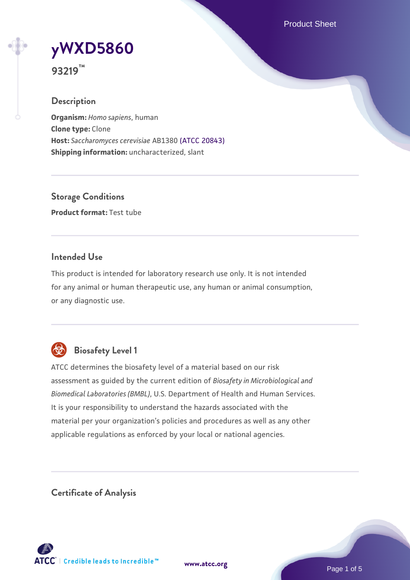Product Sheet

# **[yWXD5860](https://www.atcc.org/products/93219)**

**93219™**

## **Description**

**Organism:** *Homo sapiens*, human **Clone type:** Clone **Host:** *Saccharomyces cerevisiae* AB1380 [\(ATCC 20843\)](https://www.atcc.org/products/20843) **Shipping information:** uncharacterized, slant

**Storage Conditions Product format:** Test tube

## **Intended Use**

This product is intended for laboratory research use only. It is not intended for any animal or human therapeutic use, any human or animal consumption, or any diagnostic use.



# **Biosafety Level 1**

ATCC determines the biosafety level of a material based on our risk assessment as guided by the current edition of *Biosafety in Microbiological and Biomedical Laboratories (BMBL)*, U.S. Department of Health and Human Services. It is your responsibility to understand the hazards associated with the material per your organization's policies and procedures as well as any other applicable regulations as enforced by your local or national agencies.

**Certificate of Analysis**

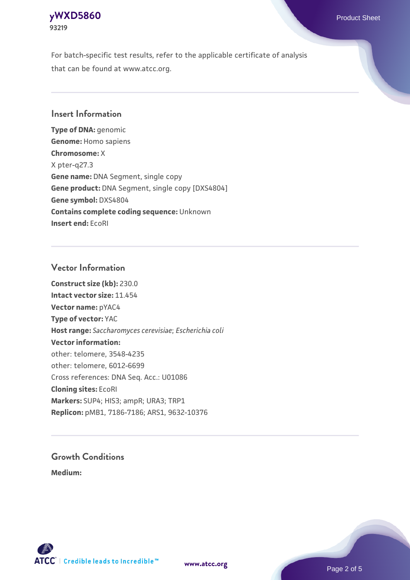## **[yWXD5860](https://www.atcc.org/products/93219)** Product Sheet **93219**

For batch-specific test results, refer to the applicable certificate of analysis that can be found at www.atcc.org.

## **Insert Information**

**Type of DNA:** genomic **Genome:** Homo sapiens **Chromosome:** X X pter-q27.3 **Gene name:** DNA Segment, single copy **Gene product:** DNA Segment, single copy [DXS4804] **Gene symbol:** DXS4804 **Contains complete coding sequence:** Unknown **Insert end:** EcoRI

## **Vector Information**

**Construct size (kb):** 230.0 **Intact vector size:** 11.454 **Vector name:** pYAC4 **Type of vector:** YAC **Host range:** *Saccharomyces cerevisiae*; *Escherichia coli* **Vector information:** other: telomere, 3548-4235 other: telomere, 6012-6699 Cross references: DNA Seq. Acc.: U01086 **Cloning sites:** EcoRI **Markers:** SUP4; HIS3; ampR; URA3; TRP1 **Replicon:** pMB1, 7186-7186; ARS1, 9632-10376

# **Growth Conditions**

**Medium:** 



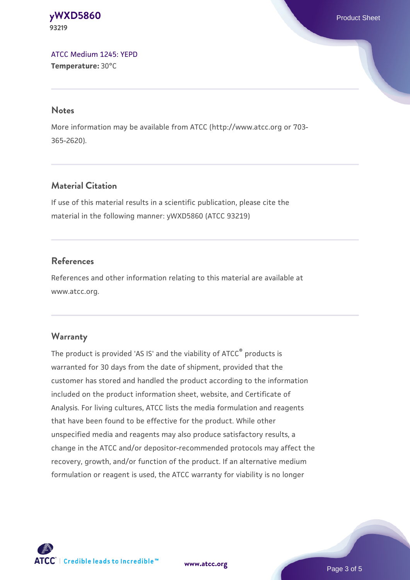#### **[yWXD5860](https://www.atcc.org/products/93219)** Product Sheet **93219**

[ATCC Medium 1245: YEPD](https://www.atcc.org/-/media/product-assets/documents/microbial-media-formulations/1/2/4/5/atcc-medium-1245.pdf?rev=705ca55d1b6f490a808a965d5c072196) **Temperature:** 30°C

#### **Notes**

More information may be available from ATCC (http://www.atcc.org or 703- 365-2620).

## **Material Citation**

If use of this material results in a scientific publication, please cite the material in the following manner: yWXD5860 (ATCC 93219)

## **References**

References and other information relating to this material are available at www.atcc.org.

## **Warranty**

The product is provided 'AS IS' and the viability of ATCC® products is warranted for 30 days from the date of shipment, provided that the customer has stored and handled the product according to the information included on the product information sheet, website, and Certificate of Analysis. For living cultures, ATCC lists the media formulation and reagents that have been found to be effective for the product. While other unspecified media and reagents may also produce satisfactory results, a change in the ATCC and/or depositor-recommended protocols may affect the recovery, growth, and/or function of the product. If an alternative medium formulation or reagent is used, the ATCC warranty for viability is no longer



**[www.atcc.org](http://www.atcc.org)**

Page 3 of 5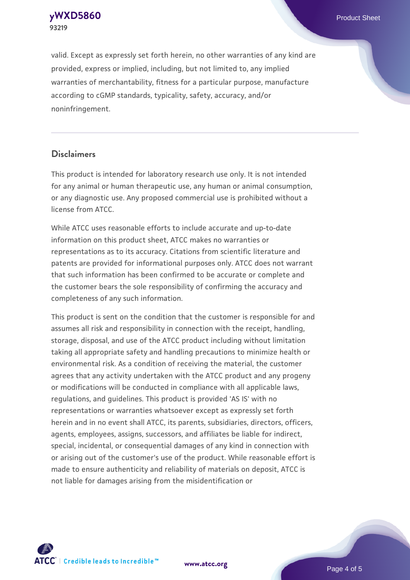**[yWXD5860](https://www.atcc.org/products/93219)** Product Sheet **93219**

valid. Except as expressly set forth herein, no other warranties of any kind are provided, express or implied, including, but not limited to, any implied warranties of merchantability, fitness for a particular purpose, manufacture according to cGMP standards, typicality, safety, accuracy, and/or noninfringement.

#### **Disclaimers**

This product is intended for laboratory research use only. It is not intended for any animal or human therapeutic use, any human or animal consumption, or any diagnostic use. Any proposed commercial use is prohibited without a license from ATCC.

While ATCC uses reasonable efforts to include accurate and up-to-date information on this product sheet, ATCC makes no warranties or representations as to its accuracy. Citations from scientific literature and patents are provided for informational purposes only. ATCC does not warrant that such information has been confirmed to be accurate or complete and the customer bears the sole responsibility of confirming the accuracy and completeness of any such information.

This product is sent on the condition that the customer is responsible for and assumes all risk and responsibility in connection with the receipt, handling, storage, disposal, and use of the ATCC product including without limitation taking all appropriate safety and handling precautions to minimize health or environmental risk. As a condition of receiving the material, the customer agrees that any activity undertaken with the ATCC product and any progeny or modifications will be conducted in compliance with all applicable laws, regulations, and guidelines. This product is provided 'AS IS' with no representations or warranties whatsoever except as expressly set forth herein and in no event shall ATCC, its parents, subsidiaries, directors, officers, agents, employees, assigns, successors, and affiliates be liable for indirect, special, incidental, or consequential damages of any kind in connection with or arising out of the customer's use of the product. While reasonable effort is made to ensure authenticity and reliability of materials on deposit, ATCC is not liable for damages arising from the misidentification or



**[www.atcc.org](http://www.atcc.org)**

Page 4 of 5